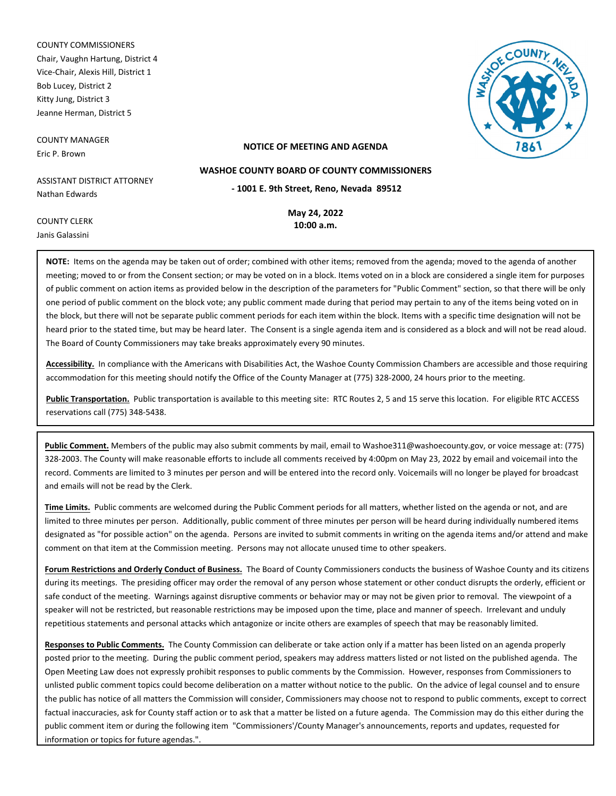COUNTY COMMISSIONERS Chair, Vaughn Hartung, District 4 Vice-Chair, Alexis Hill, District 1 Bob Lucey, District 2 Kitty Jung, District 3 Jeanne Herman, District 5

COUNTY MANAGER Eric P. Brown

COUNTY CLERK Janis Galassini



#### **NOTICE OF MEETING AND AGENDA**

ASSISTANT DISTRICT ATTORNEY Nathan Edwards

**May 24, 2022**

**- 1001 E. 9th Street, Reno, Nevada 89512 WASHOE COUNTY BOARD OF COUNTY COMMISSIONERS**

**10:00 a.m.**

**NOTE:** Items on the agenda may be taken out of order; combined with other items; removed from the agenda; moved to the agenda of another meeting; moved to or from the Consent section; or may be voted on in a block. Items voted on in a block are considered a single item for purposes of public comment on action items as provided below in the description of the parameters for "Public Comment" section, so that there will be only one period of public comment on the block vote; any public comment made during that period may pertain to any of the items being voted on in the block, but there will not be separate public comment periods for each item within the block. Items with a specific time designation will not be heard prior to the stated time, but may be heard later. The Consent is a single agenda item and is considered as a block and will not be read aloud. The Board of County Commissioners may take breaks approximately every 90 minutes.

**Accessibility.** In compliance with the Americans with Disabilities Act, the Washoe County Commission Chambers are accessible and those requiring accommodation for this meeting should notify the Office of the County Manager at (775) 328-2000, 24 hours prior to the meeting.

**Public Transportation.** Public transportation is available to this meeting site: RTC Routes 2, 5 and 15 serve this location. For eligible RTC ACCESS reservations call (775) 348-5438.

**Public Comment.** Members of the public may also submit comments by mail, email to Washoe311@washoecounty.gov, or voice message at: (775) 328-2003. The County will make reasonable efforts to include all comments received by 4:00pm on May 23, 2022 by email and voicemail into the record. Comments are limited to 3 minutes per person and will be entered into the record only. Voicemails will no longer be played for broadcast and emails will not be read by the Clerk.

**Time Limits.** Public comments are welcomed during the Public Comment periods for all matters, whether listed on the agenda or not, and are limited to three minutes per person. Additionally, public comment of three minutes per person will be heard during individually numbered items designated as "for possible action" on the agenda. Persons are invited to submit comments in writing on the agenda items and/or attend and make comment on that item at the Commission meeting. Persons may not allocate unused time to other speakers.

**Forum Restrictions and Orderly Conduct of Business.** The Board of County Commissioners conducts the business of Washoe County and its citizens during its meetings. The presiding officer may order the removal of any person whose statement or other conduct disrupts the orderly, efficient or safe conduct of the meeting. Warnings against disruptive comments or behavior may or may not be given prior to removal. The viewpoint of a speaker will not be restricted, but reasonable restrictions may be imposed upon the time, place and manner of speech. Irrelevant and unduly repetitious statements and personal attacks which antagonize or incite others are examples of speech that may be reasonably limited.

**Responses to Public Comments.** The County Commission can deliberate or take action only if a matter has been listed on an agenda properly posted prior to the meeting. During the public comment period, speakers may address matters listed or not listed on the published agenda. The Open Meeting Law does not expressly prohibit responses to public comments by the Commission. However, responses from Commissioners to unlisted public comment topics could become deliberation on a matter without notice to the public. On the advice of legal counsel and to ensure the public has notice of all matters the Commission will consider, Commissioners may choose not to respond to public comments, except to correct factual inaccuracies, ask for County staff action or to ask that a matter be listed on a future agenda. The Commission may do this either during the public comment item or during the following item "Commissioners'/County Manager's announcements, reports and updates, requested for information or topics for future agendas.".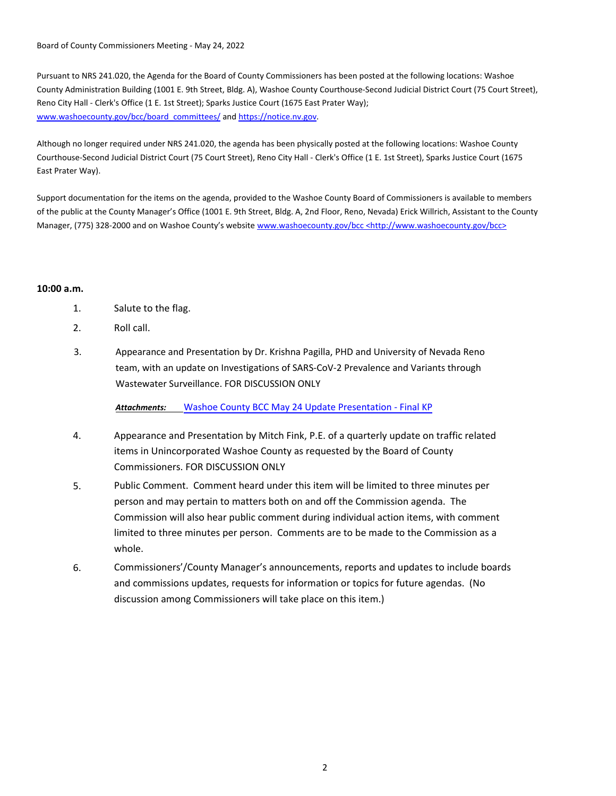Board of County Commissioners Meeting - May 24, 2022

Pursuant to NRS 241.020, the Agenda for the Board of County Commissioners has been posted at the following locations: Washoe County Administration Building (1001 E. 9th Street, Bldg. A), Washoe County Courthouse-Second Judicial District Court (75 Court Street), Reno City Hall - Clerk's Office (1 E. 1st Street); Sparks Justice Court (1675 East Prater Way); www.washoecounty.gov/bcc/board\_committees/ and https://notice.nv.gov.

Although no longer required under NRS 241.020, the agenda has been physically posted at the following locations: Washoe County Courthouse-Second Judicial District Court (75 Court Street), Reno City Hall - Clerk's Office (1 E. 1st Street), Sparks Justice Court (1675 East Prater Way).

Support documentation for the items on the agenda, provided to the Washoe County Board of Commissioners is available to members of the public at the County Manager's Office (1001 E. 9th Street, Bldg. A, 2nd Floor, Reno, Nevada) Erick Willrich, Assistant to the County Manager, (775) 328-2000 and on Washoe County's website www.washoecounty.gov/bcc <http://www.washoecounty.gov/bcc>

### **10:00 a.m.**

- 1. Salute to the flag.
- 2. Roll call.
- 3. Appearance and Presentation by Dr. Krishna Pagilla, PHD and University of Nevada Reno team, with an update on Investigations of SARS-CoV-2 Prevalence and Variants through Wastewater Surveillance. FOR DISCUSSION ONLY

*Attachments:* Washoe [County BCC May 24 Update Presentation - Final KP](http://washoe-nv.legistar.com/gateway.aspx?M=F&ID=88449d22-fa48-4662-857f-aca595c6dc8b.pdf)

- 4. Appearance and Presentation by Mitch Fink, P.E. of a quarterly update on traffic related items in Unincorporated Washoe County as requested by the Board of County Commissioners. FOR DISCUSSION ONLY
- 5. Public Comment. Comment heard under this item will be limited to three minutes per person and may pertain to matters both on and off the Commission agenda. The Commission will also hear public comment during individual action items, with comment limited to three minutes per person. Comments are to be made to the Commission as a whole.
- 6. Commissioners'/County Manager's announcements, reports and updates to include boards and commissions updates, requests for information or topics for future agendas. (No discussion among Commissioners will take place on this item.)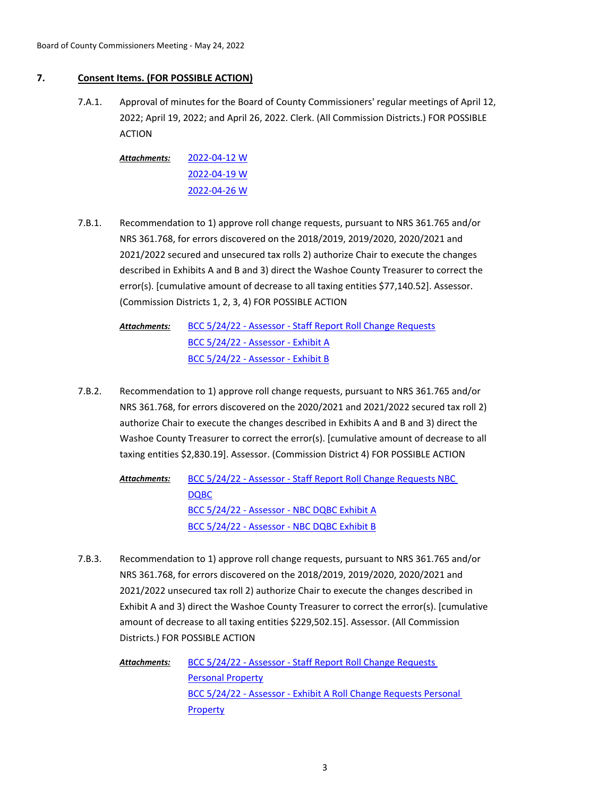## **7. Consent Items. (FOR POSSIBLE ACTION)**

Approval of minutes for the Board of County Commissioners' regular meetings of April 12, 2022; April 19, 2022; and April 26, 2022. Clerk. (All Commission Districts.) FOR POSSIBLE ACTION 7.A.1.

[2022-04-12 W](http://washoe-nv.legistar.com/gateway.aspx?M=F&ID=92440372-2053-4ca9-8cc2-dd3403566ca9.pdf) [2022-04-19 W](http://washoe-nv.legistar.com/gateway.aspx?M=F&ID=99e4b3a3-5e9c-4c47-a122-700df808fb96.pdf) [2022-04-26 W](http://washoe-nv.legistar.com/gateway.aspx?M=F&ID=60e7d644-cc08-47c9-a8c9-fc2f2c842fe3.pdf) *Attachments:*

- Recommendation to 1) approve roll change requests, pursuant to NRS 361.765 and/or NRS 361.768, for errors discovered on the 2018/2019, 2019/2020, 2020/2021 and 2021/2022 secured and unsecured tax rolls 2) authorize Chair to execute the changes described in Exhibits A and B and 3) direct the Washoe County Treasurer to correct the error(s). [cumulative amount of decrease to all taxing entities \$77,140.52]. Assessor. (Commission Districts 1, 2, 3, 4) FOR POSSIBLE ACTION 7.B.1.
	- [BCC 5/24/22 Assessor Staff Report Roll Change Requests](http://washoe-nv.legistar.com/gateway.aspx?M=F&ID=5074f568-2235-4c67-9d18-ca147e8b3bdc.docx) [BCC 5/24/22 - Assessor - Exhibit A](http://washoe-nv.legistar.com/gateway.aspx?M=F&ID=b0763cf3-fef3-497d-a330-6225d586d242.pdf) [BCC 5/24/22 - Assessor - Exhibit B](http://washoe-nv.legistar.com/gateway.aspx?M=F&ID=e13f084b-1056-43a1-a1dc-9cae1501dc4d.pdf) *Attachments:*
- Recommendation to 1) approve roll change requests, pursuant to NRS 361.765 and/or NRS 361.768, for errors discovered on the 2020/2021 and 2021/2022 secured tax roll 2) authorize Chair to execute the changes described in Exhibits A and B and 3) direct the Washoe County Treasurer to correct the error(s). [cumulative amount of decrease to all taxing entities \$2,830.19]. Assessor. (Commission District 4) FOR POSSIBLE ACTION 7.B.2.

[BCC 5/24/22 - Assessor - Staff Report Roll Change Requests NBC](http://washoe-nv.legistar.com/gateway.aspx?M=F&ID=736bbfba-877e-4924-b80f-906b510daa8a.docx)  DQBC [BCC 5/24/22 - Assessor - NBC DQBC Exhibit A](http://washoe-nv.legistar.com/gateway.aspx?M=F&ID=cb612df6-091e-4a2c-8d94-8b35209f7b1e.pdf) [BCC 5/24/22 - Assessor - NBC DQBC Exhibit B](http://washoe-nv.legistar.com/gateway.aspx?M=F&ID=3cee0df9-b9a7-4349-ae4e-ec9496220548.pdf) *Attachments:*

Recommendation to 1) approve roll change requests, pursuant to NRS 361.765 and/or NRS 361.768, for errors discovered on the 2018/2019, 2019/2020, 2020/2021 and 2021/2022 unsecured tax roll 2) authorize Chair to execute the changes described in Exhibit A and 3) direct the Washoe County Treasurer to correct the error(s). [cumulative amount of decrease to all taxing entities \$229,502.15]. Assessor. (All Commission Districts.) FOR POSSIBLE ACTION 7.B.3.

> [BCC 5/24/22 - Assessor - Staff Report Roll Change Requests](http://washoe-nv.legistar.com/gateway.aspx?M=F&ID=f3ec0e3e-d47a-4a81-be8e-ba00869f0219.docx)  Personal Property [BCC 5/24/22 - Assessor - Exhibit A Roll Change Requests Personal](http://washoe-nv.legistar.com/gateway.aspx?M=F&ID=d5324b58-5a4b-43de-8d06-643d799c0160.pdf)  **Property** *Attachments:*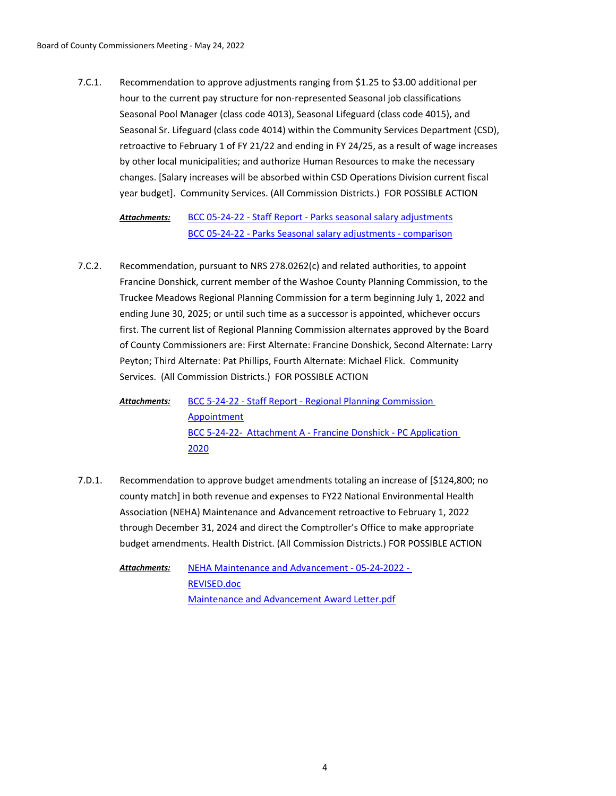Recommendation to approve adjustments ranging from \$1.25 to \$3.00 additional per hour to the current pay structure for non-represented Seasonal job classifications Seasonal Pool Manager (class code 4013), Seasonal Lifeguard (class code 4015), and Seasonal Sr. Lifeguard (class code 4014) within the Community Services Department (CSD), retroactive to February 1 of FY 21/22 and ending in FY 24/25, as a result of wage increases by other local municipalities; and authorize Human Resources to make the necessary changes. [Salary increases will be absorbed within CSD Operations Division current fiscal year budget]. Community Services. (All Commission Districts.) FOR POSSIBLE ACTION 7.C.1.

[BCC 05-24-22 - Staff Report - Parks seasonal salary adjustments](http://washoe-nv.legistar.com/gateway.aspx?M=F&ID=17a57b2a-4b12-45bb-8569-21e8783446c0.doc) [BCC 05-24-22 - Parks Seasonal salary adjustments - comparison](http://washoe-nv.legistar.com/gateway.aspx?M=F&ID=e3c6a87b-38cd-4dc3-ae00-1572a00e5187.pdf) *Attachments:*

Recommendation, pursuant to NRS 278.0262(c) and related authorities, to appoint Francine Donshick, current member of the Washoe County Planning Commission, to the Truckee Meadows Regional Planning Commission for a term beginning July 1, 2022 and ending June 30, 2025; or until such time as a successor is appointed, whichever occurs first. The current list of Regional Planning Commission alternates approved by the Board of County Commissioners are: First Alternate: Francine Donshick, Second Alternate: Larry Peyton; Third Alternate: Pat Phillips, Fourth Alternate: Michael Flick. Community Services. (All Commission Districts.) FOR POSSIBLE ACTION 7.C.2.

[BCC 5-24-22 - Staff Report - Regional Planning Commission](http://washoe-nv.legistar.com/gateway.aspx?M=F&ID=d9d3ea4a-dcaf-43fc-ab07-6bbd92a633e9.doc)  Appointment [BCC 5-24-22- Attachment A - Francine Donshick - PC Application](http://washoe-nv.legistar.com/gateway.aspx?M=F&ID=9323698d-68f1-4415-a840-c561deeaeaf8.pdf)  2020 *Attachments:*

Recommendation to approve budget amendments totaling an increase of [\$124,800; no county match] in both revenue and expenses to FY22 National Environmental Health Association (NEHA) Maintenance and Advancement retroactive to February 1, 2022 through December 31, 2024 and direct the Comptroller's Office to make appropriate budget amendments. Health District. (All Commission Districts.) FOR POSSIBLE ACTION 7.D.1.

> [NEHA Maintenance and Advancement - 05-24-2022 -](http://washoe-nv.legistar.com/gateway.aspx?M=F&ID=64efa93f-6a89-4d0b-858e-cd77c5b97c8c.doc)  REVISED.doc [Maintenance and Advancement Award Letter.pdf](http://washoe-nv.legistar.com/gateway.aspx?M=F&ID=5303b5b0-09b4-40b9-a7b5-df1c01b12f46.pdf) *Attachments:*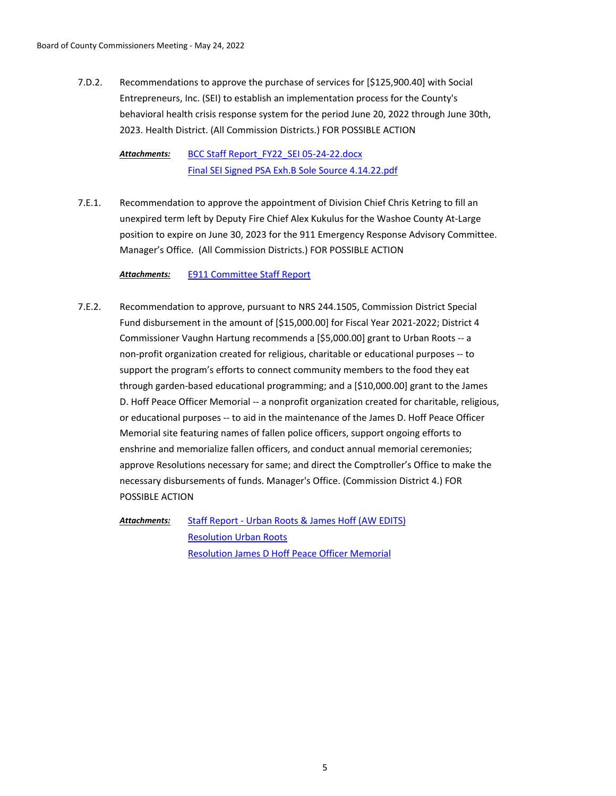Recommendations to approve the purchase of services for [\$125,900.40] with Social Entrepreneurs, Inc. (SEI) to establish an implementation process for the County's behavioral health crisis response system for the period June 20, 2022 through June 30th, 2023. Health District. (All Commission Districts.) FOR POSSIBLE ACTION 7.D.2.

[BCC Staff Report\\_FY22\\_SEI 05-24-22.docx](http://washoe-nv.legistar.com/gateway.aspx?M=F&ID=958eef86-3bc5-4ca3-b3e9-75509e96db0a.docx) [Final SEI Signed PSA Exh.B Sole Source 4.14.22.pdf](http://washoe-nv.legistar.com/gateway.aspx?M=F&ID=aef6c50b-c379-4c95-a08f-57930c895795.pdf) *Attachments:*

Recommendation to approve the appointment of Division Chief Chris Ketring to fill an unexpired term left by Deputy Fire Chief Alex Kukulus for the Washoe County At-Large position to expire on June 30, 2023 for the 911 Emergency Response Advisory Committee. Manager's Office. (All Commission Districts.) FOR POSSIBLE ACTION 7.E.1.

*Attachments:* [E911 Committee Staff Report](http://washoe-nv.legistar.com/gateway.aspx?M=F&ID=f92b6e1f-6bf1-4aee-831d-924708c51969.docx)

Recommendation to approve, pursuant to NRS 244.1505, Commission District Special Fund disbursement in the amount of [\$15,000.00] for Fiscal Year 2021-2022; District 4 Commissioner Vaughn Hartung recommends a [\$5,000.00] grant to Urban Roots -- a non-profit organization created for religious, charitable or educational purposes -- to support the program's efforts to connect community members to the food they eat through garden-based educational programming; and a [\$10,000.00] grant to the James D. Hoff Peace Officer Memorial -- a nonprofit organization created for charitable, religious, or educational purposes -- to aid in the maintenance of the James D. Hoff Peace Officer Memorial site featuring names of fallen police officers, support ongoing efforts to enshrine and memorialize fallen officers, and conduct annual memorial ceremonies; approve Resolutions necessary for same; and direct the Comptroller's Office to make the necessary disbursements of funds. Manager's Office. (Commission District 4.) FOR POSSIBLE ACTION 7.E.2.

[Staff Report - Urban Roots & James Hoff \(AW EDITS\)](http://washoe-nv.legistar.com/gateway.aspx?M=F&ID=f135c295-c9fe-4f39-a984-619292dc6815.doc) [Resolution Urban Roots](http://washoe-nv.legistar.com/gateway.aspx?M=F&ID=b4f7aa71-2028-42ef-809b-a950fd67e595.docx) [Resolution James D Hoff Peace Officer Memorial](http://washoe-nv.legistar.com/gateway.aspx?M=F&ID=172f0300-9c33-402c-bf53-b2661ac56ade.docx) *Attachments:*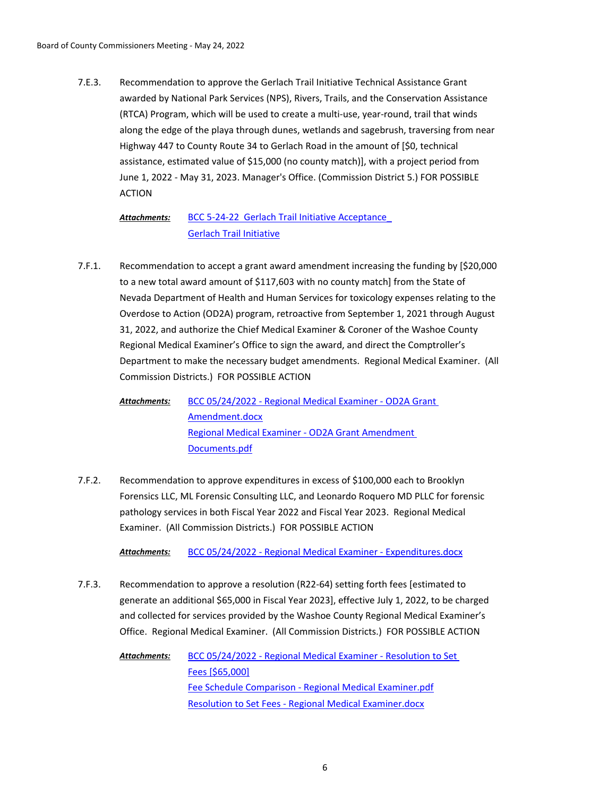Recommendation to approve the Gerlach Trail Initiative Technical Assistance Grant awarded by National Park Services (NPS), Rivers, Trails, and the Conservation Assistance (RTCA) Program, which will be used to create a multi-use, year-round, trail that winds along the edge of the playa through dunes, wetlands and sagebrush, traversing from near Highway 447 to County Route 34 to Gerlach Road in the amount of [\$0, technical assistance, estimated value of \$15,000 (no county match)], with a project period from June 1, 2022 - May 31, 2023. Manager's Office. (Commission District 5.) FOR POSSIBLE ACTION 7.E.3.

#### BCC 5-24-22 Gerlach Trail Initiative Acceptance [Gerlach Trail Initiative](http://washoe-nv.legistar.com/gateway.aspx?M=F&ID=fa3a573e-1d7c-4bbb-bc24-9ad384afb3a1.pdf) *Attachments:*

Recommendation to accept a grant award amendment increasing the funding by [\$20,000 to a new total award amount of \$117,603 with no county match] from the State of Nevada Department of Health and Human Services for toxicology expenses relating to the Overdose to Action (OD2A) program, retroactive from September 1, 2021 through August 31, 2022, and authorize the Chief Medical Examiner & Coroner of the Washoe County Regional Medical Examiner's Office to sign the award, and direct the Comptroller's Department to make the necessary budget amendments. Regional Medical Examiner. (All Commission Districts.) FOR POSSIBLE ACTION 7.F.1.

[BCC 05/24/2022 - Regional Medical Examiner - OD2A Grant](http://washoe-nv.legistar.com/gateway.aspx?M=F&ID=d0c52589-3be6-4f55-b66f-63c6aaa4482a.docx)  Amendment.docx [Regional Medical Examiner - OD2A Grant Amendment](http://washoe-nv.legistar.com/gateway.aspx?M=F&ID=6ebf5f1a-f61e-4485-acc9-98836764fd74.pdf)  Documents.pdf *Attachments:*

Recommendation to approve expenditures in excess of \$100,000 each to Brooklyn Forensics LLC, ML Forensic Consulting LLC, and Leonardo Roquero MD PLLC for forensic pathology services in both Fiscal Year 2022 and Fiscal Year 2023. Regional Medical Examiner. (All Commission Districts.) FOR POSSIBLE ACTION 7.F.2.

*Attachments:* [BCC 05/24/2022 - Regional Medical Examiner - Expenditures.docx](http://washoe-nv.legistar.com/gateway.aspx?M=F&ID=06358374-fcf4-4766-90b3-19a1d9eb1a42.docx)

Recommendation to approve a resolution (R22-64) setting forth fees [estimated to generate an additional \$65,000 in Fiscal Year 2023], effective July 1, 2022, to be charged and collected for services provided by the Washoe County Regional Medical Examiner's Office. Regional Medical Examiner. (All Commission Districts.) FOR POSSIBLE ACTION 7.F.3.

> [BCC 05/24/2022 - Regional Medical Examiner - Resolution to Set](http://washoe-nv.legistar.com/gateway.aspx?M=F&ID=1272a2c9-c575-40f1-bb44-d4ecb948f2ce.docx)  Fees [\$65,000] [Fee Schedule Comparison - Regional Medical Examiner.pdf](http://washoe-nv.legistar.com/gateway.aspx?M=F&ID=c53bbe65-fec9-4cc1-a334-ff14efc6e529.pdf) [Resolution to Set Fees - Regional Medical Examiner.docx](http://washoe-nv.legistar.com/gateway.aspx?M=F&ID=4dcd4ca1-9cba-4d95-b2f2-774de0f3e18a.docx) *Attachments:*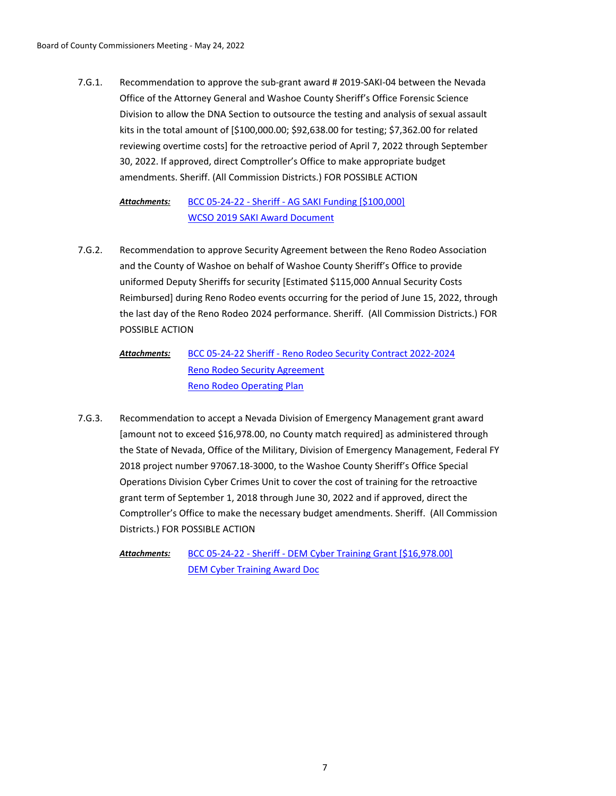Recommendation to approve the sub-grant award # 2019-SAKI-04 between the Nevada Office of the Attorney General and Washoe County Sheriff's Office Forensic Science Division to allow the DNA Section to outsource the testing and analysis of sexual assault kits in the total amount of [\$100,000.00; \$92,638.00 for testing; \$7,362.00 for related reviewing overtime costs] for the retroactive period of April 7, 2022 through September 30, 2022. If approved, direct Comptroller's Office to make appropriate budget amendments. Sheriff. (All Commission Districts.) FOR POSSIBLE ACTION 7.G.1.

#### [BCC 05-24-22 - Sheriff - AG SAKI Funding \[\\$100,000\]](http://washoe-nv.legistar.com/gateway.aspx?M=F&ID=9a5a049b-0384-4769-8e54-fa0ecd73ecd9.doc) [WCSO 2019 SAKI Award Document](http://washoe-nv.legistar.com/gateway.aspx?M=F&ID=c4553266-e45b-4305-94b8-1be161c02daa.pdf) *Attachments:*

Recommendation to approve Security Agreement between the Reno Rodeo Association and the County of Washoe on behalf of Washoe County Sheriff's Office to provide uniformed Deputy Sheriffs for security [Estimated \$115,000 Annual Security Costs Reimbursed] during Reno Rodeo events occurring for the period of June 15, 2022, through the last day of the Reno Rodeo 2024 performance. Sheriff. (All Commission Districts.) FOR POSSIBLE ACTION 7.G.2.

#### [BCC 05-24-22 Sheriff - Reno Rodeo Security Contract 2022-2024](http://washoe-nv.legistar.com/gateway.aspx?M=F&ID=822d0058-bb00-44ff-9f9c-c08f113d118f.doc) [Reno Rodeo Security Agreement](http://washoe-nv.legistar.com/gateway.aspx?M=F&ID=b992550f-d2c1-470d-80a8-a493ced69d66.pdf) [Reno Rodeo Operating Plan](http://washoe-nv.legistar.com/gateway.aspx?M=F&ID=5ab19495-46d6-4876-9ea8-9e3ba90c612e.pdf) *Attachments:*

Recommendation to accept a Nevada Division of Emergency Management grant award [amount not to exceed \$16,978.00, no County match required] as administered through the State of Nevada, Office of the Military, Division of Emergency Management, Federal FY 2018 project number 97067.18-3000, to the Washoe County Sheriff's Office Special Operations Division Cyber Crimes Unit to cover the cost of training for the retroactive grant term of September 1, 2018 through June 30, 2022 and if approved, direct the Comptroller's Office to make the necessary budget amendments. Sheriff. (All Commission Districts.) FOR POSSIBLE ACTION 7.G.3.

[BCC 05-24-22 - Sheriff - DEM Cyber Training Grant \[\\$16,978.00\]](http://washoe-nv.legistar.com/gateway.aspx?M=F&ID=6539a5db-aea9-4551-ae00-151f4ace1832.doc) [DEM Cyber Training Award Doc](http://washoe-nv.legistar.com/gateway.aspx?M=F&ID=caad0c59-9cde-4b25-bc20-a0ef917bb3c6.pdf) *Attachments:*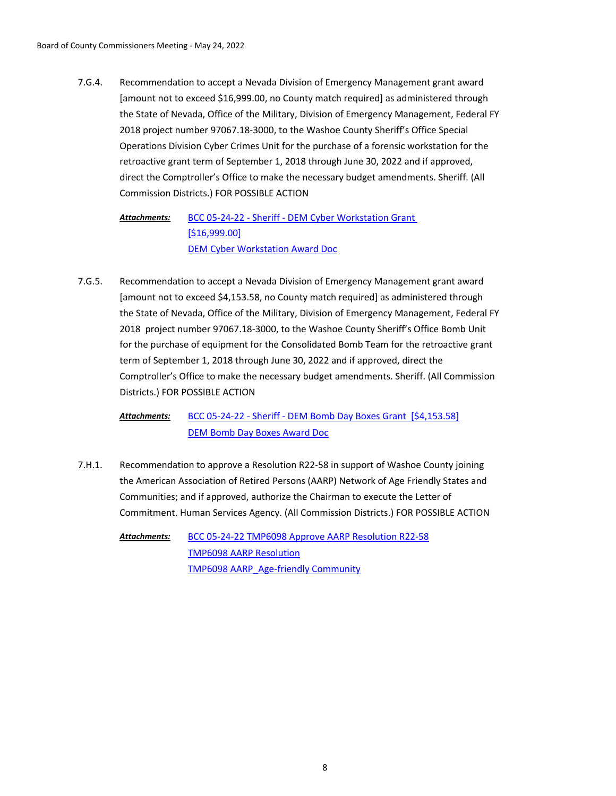Recommendation to accept a Nevada Division of Emergency Management grant award [amount not to exceed \$16,999.00, no County match required] as administered through the State of Nevada, Office of the Military, Division of Emergency Management, Federal FY 2018 project number 97067.18-3000, to the Washoe County Sheriff's Office Special Operations Division Cyber Crimes Unit for the purchase of a forensic workstation for the retroactive grant term of September 1, 2018 through June 30, 2022 and if approved, direct the Comptroller's Office to make the necessary budget amendments. Sheriff. (All Commission Districts.) FOR POSSIBLE ACTION 7.G.4.

[BCC 05-24-22 - Sheriff - DEM Cyber Workstation Grant](http://washoe-nv.legistar.com/gateway.aspx?M=F&ID=47e30c6f-a410-457f-867e-2de0c0cb6762.doc)  [\$16,999.00] [DEM Cyber Workstation Award Doc](http://washoe-nv.legistar.com/gateway.aspx?M=F&ID=ef6352ad-98e0-4214-aa84-cfecbacd5834.pdf) *Attachments:*

Recommendation to accept a Nevada Division of Emergency Management grant award [amount not to exceed \$4,153.58, no County match required] as administered through the State of Nevada, Office of the Military, Division of Emergency Management, Federal FY 2018 project number 97067.18-3000, to the Washoe County Sheriff's Office Bomb Unit for the purchase of equipment for the Consolidated Bomb Team for the retroactive grant term of September 1, 2018 through June 30, 2022 and if approved, direct the Comptroller's Office to make the necessary budget amendments. Sheriff. (All Commission Districts.) FOR POSSIBLE ACTION 7.G.5.

[BCC 05-24-22 - Sheriff - DEM Bomb Day Boxes Grant \[\\$4,153.58\]](http://washoe-nv.legistar.com/gateway.aspx?M=F&ID=e072b92a-bb8c-4a4c-ab9e-af5032bf8bbe.doc) [DEM Bomb Day Boxes Award Doc](http://washoe-nv.legistar.com/gateway.aspx?M=F&ID=b684c242-3377-4422-b293-c33bf7635430.pdf) *Attachments:*

Recommendation to approve a Resolution R22-58 in support of Washoe County joining the American Association of Retired Persons (AARP) Network of Age Friendly States and Communities; and if approved, authorize the Chairman to execute the Letter of Commitment. Human Services Agency. (All Commission Districts.) FOR POSSIBLE ACTION 7.H.1.

[BCC 05-24-22 TMP6098 Approve AARP Resolution R22-58](http://washoe-nv.legistar.com/gateway.aspx?M=F&ID=dba30846-6e32-4885-91d2-6dcddb7475a8.docx) [TMP6098 AARP Resolution](http://washoe-nv.legistar.com/gateway.aspx?M=F&ID=1fecdd5b-63b4-438c-b463-603375e487d5.docx) [TMP6098 AARP\\_Age-friendly Community](http://washoe-nv.legistar.com/gateway.aspx?M=F&ID=86f26bbf-e2c6-40e1-a5f2-728db20de708.docx) *Attachments:*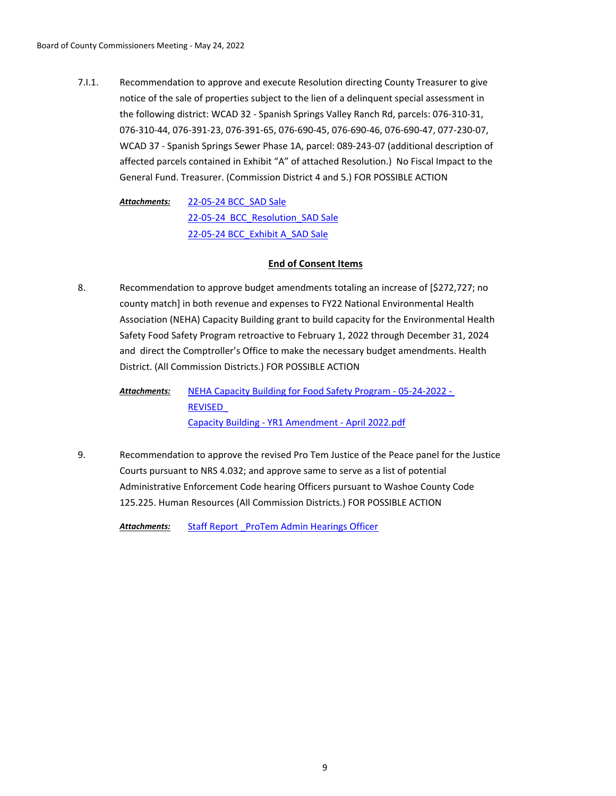Recommendation to approve and execute Resolution directing County Treasurer to give notice of the sale of properties subject to the lien of a delinquent special assessment in the following district: WCAD 32 - Spanish Springs Valley Ranch Rd, parcels: 076-310-31, 076-310-44, 076-391-23, 076-391-65, 076-690-45, 076-690-46, 076-690-47, 077-230-07, WCAD 37 - Spanish Springs Sewer Phase 1A, parcel: 089-243-07 (additional description of affected parcels contained in Exhibit "A" of attached Resolution.) No Fiscal Impact to the General Fund. Treasurer. (Commission District 4 and 5.) FOR POSSIBLE ACTION 7.I.1.

[22-05-24 BCC\\_SAD Sale](http://washoe-nv.legistar.com/gateway.aspx?M=F&ID=544f6746-c35b-4045-9b24-f0f8325d3a2e.docx) 22-05-24 BCC Resolution SAD Sale [22-05-24 BCC\\_Exhibit A\\_SAD Sale](http://washoe-nv.legistar.com/gateway.aspx?M=F&ID=ccf1c0a2-54e5-4570-ae78-24a9e788bca0.docx) *Attachments:*

## **End of Consent Items**

Recommendation to approve budget amendments totaling an increase of [\$272,727; no county match] in both revenue and expenses to FY22 National Environmental Health Association (NEHA) Capacity Building grant to build capacity for the Environmental Health Safety Food Safety Program retroactive to February 1, 2022 through December 31, 2024 and direct the Comptroller's Office to make the necessary budget amendments. Health District. (All Commission Districts.) FOR POSSIBLE ACTION 8.

[NEHA Capacity Building for Food Safety Program - 05-24-2022 -](http://washoe-nv.legistar.com/gateway.aspx?M=F&ID=b1914742-7b2c-42e5-ade6-269d1ea16b47.doc)  REVISED\_ [Capacity Building - YR1 Amendment - April 2022.pdf](http://washoe-nv.legistar.com/gateway.aspx?M=F&ID=eb4d4a21-27f5-4774-8116-899f34cf727d.pdf) *Attachments:*

Recommendation to approve the revised Pro Tem Justice of the Peace panel for the Justice Courts pursuant to NRS 4.032; and approve same to serve as a list of potential Administrative Enforcement Code hearing Officers pursuant to Washoe County Code 125.225. Human Resources (All Commission Districts.) FOR POSSIBLE ACTION 9.

Attachments: Staff Report ProTem Admin Hearings Officer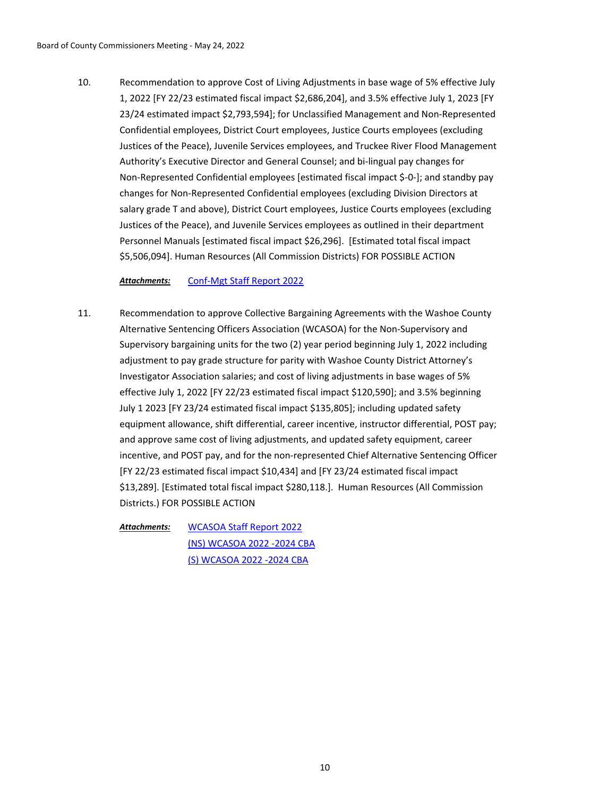Recommendation to approve Cost of Living Adjustments in base wage of 5% effective July 1, 2022 [FY 22/23 estimated fiscal impact \$2,686,204], and 3.5% effective July 1, 2023 [FY 23/24 estimated impact \$2,793,594]; for Unclassified Management and Non-Represented Confidential employees, District Court employees, Justice Courts employees (excluding Justices of the Peace), Juvenile Services employees, and Truckee River Flood Management Authority's Executive Director and General Counsel; and bi-lingual pay changes for Non-Represented Confidential employees [estimated fiscal impact \$-0-]; and standby pay changes for Non-Represented Confidential employees (excluding Division Directors at salary grade T and above), District Court employees, Justice Courts employees (excluding Justices of the Peace), and Juvenile Services employees as outlined in their department Personnel Manuals [estimated fiscal impact \$26,296]. [Estimated total fiscal impact \$5,506,094]. Human Resources (All Commission Districts) FOR POSSIBLE ACTION 10.

*Attachments:* [Conf-Mgt Staff Report 2022](http://washoe-nv.legistar.com/gateway.aspx?M=F&ID=e29d2b72-e678-4b71-81c7-1ddb93abc390.doc)

Recommendation to approve Collective Bargaining Agreements with the Washoe County Alternative Sentencing Officers Association (WCASOA) for the Non-Supervisory and Supervisory bargaining units for the two (2) year period beginning July 1, 2022 including adjustment to pay grade structure for parity with Washoe County District Attorney's Investigator Association salaries; and cost of living adjustments in base wages of 5% effective July 1, 2022 [FY 22/23 estimated fiscal impact \$120,590]; and 3.5% beginning July 1 2023 [FY 23/24 estimated fiscal impact \$135,805]; including updated safety equipment allowance, shift differential, career incentive, instructor differential, POST pay; and approve same cost of living adjustments, and updated safety equipment, career incentive, and POST pay, and for the non-represented Chief Alternative Sentencing Officer [FY 22/23 estimated fiscal impact \$10,434] and [FY 23/24 estimated fiscal impact \$13,289]. [Estimated total fiscal impact \$280,118.]. Human Resources (All Commission Districts.) FOR POSSIBLE ACTION 11.

[WCASOA Staff Report 2022](http://washoe-nv.legistar.com/gateway.aspx?M=F&ID=0f9e0772-8f93-4bbd-8a58-b7d08a173607.docx) [\(NS\) WCASOA 2022 -2024 CBA](http://washoe-nv.legistar.com/gateway.aspx?M=F&ID=e0641856-5479-49f7-a2e3-4601cefe54cb.pdf) [\(S\) WCASOA 2022 -2024 CBA](http://washoe-nv.legistar.com/gateway.aspx?M=F&ID=cf7bdf8b-5c0b-44c5-a6f5-189dcf09fa6b.pdf) *Attachments:*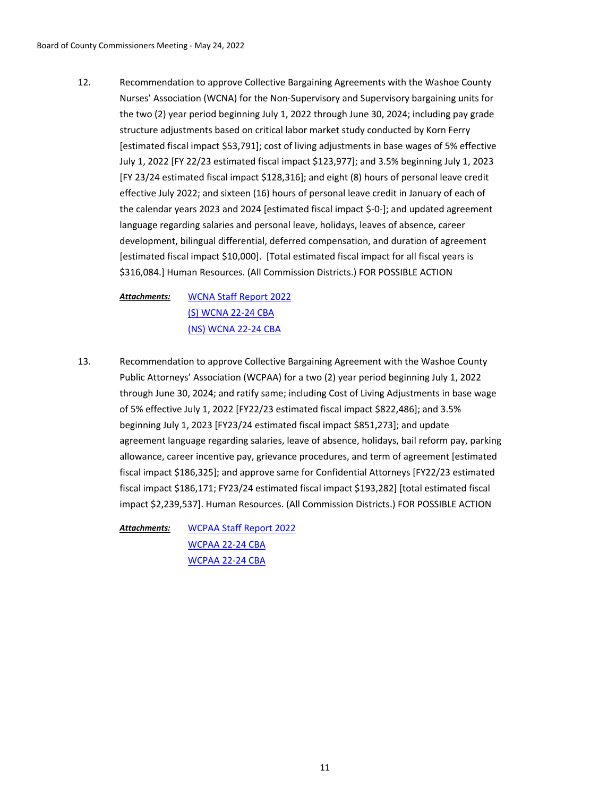Recommendation to approve Collective Bargaining Agreements with the Washoe County Nurses' Association (WCNA) for the Non-Supervisory and Supervisory bargaining units for the two (2) year period beginning July 1, 2022 through June 30, 2024; including pay grade structure adjustments based on critical labor market study conducted by Korn Ferry [estimated fiscal impact \$53,791]; cost of living adjustments in base wages of 5% effective July 1, 2022 [FY 22/23 estimated fiscal impact \$123,977]; and 3.5% beginning July 1, 2023 [FY 23/24 estimated fiscal impact \$128,316]; and eight (8) hours of personal leave credit effective July 2022; and sixteen (16) hours of personal leave credit in January of each of the calendar years 2023 and 2024 [estimated fiscal impact \$-0-]; and updated agreement language regarding salaries and personal leave, holidays, leaves of absence, career development, bilingual differential, deferred compensation, and duration of agreement [estimated fiscal impact \$10,000]. [Total estimated fiscal impact for all fiscal years is \$316,084.] Human Resources. (All Commission Districts.) FOR POSSIBLE ACTION 12.

[WCNA Staff Report 2022](http://washoe-nv.legistar.com/gateway.aspx?M=F&ID=1428dca0-9556-42f6-8172-d696eada8b27.doc) [\(S\) WCNA 22-24 CBA](http://washoe-nv.legistar.com/gateway.aspx?M=F&ID=ae50dcc1-ba46-4341-bb29-8887b8c73e0b.pdf) [\(NS\) WCNA 22-24 CBA](http://washoe-nv.legistar.com/gateway.aspx?M=F&ID=b2dc03b6-4c48-432a-b3bd-96cb0c802ee8.pdf) *Attachments:*

Recommendation to approve Collective Bargaining Agreement with the Washoe County Public Attorneys' Association (WCPAA) for a two (2) year period beginning July 1, 2022 through June 30, 2024; and ratify same; including Cost of Living Adjustments in base wage of 5% effective July 1, 2022 [FY22/23 estimated fiscal impact \$822,486]; and 3.5% beginning July 1, 2023 [FY23/24 estimated fiscal impact \$851,273]; and update agreement language regarding salaries, leave of absence, holidays, bail reform pay, parking allowance, career incentive pay, grievance procedures, and term of agreement [estimated fiscal impact \$186,325]; and approve same for Confidential Attorneys [FY22/23 estimated fiscal impact \$186,171; FY23/24 estimated fiscal impact \$193,282] [total estimated fiscal impact \$2,239,537]. Human Resources. (All Commission Districts.) FOR POSSIBLE ACTION 13.

[WCPAA Staff Report 2022](http://washoe-nv.legistar.com/gateway.aspx?M=F&ID=39472bcf-e704-4beb-ac2a-dcd16d7d7b09.doc) [WCPAA 22-24 CBA](http://washoe-nv.legistar.com/gateway.aspx?M=F&ID=59598a3b-f055-43fe-9f2f-ca37b41180e8.pdf) [WCPAA 22-24 CBA](http://washoe-nv.legistar.com/gateway.aspx?M=F&ID=53a170b0-5fb5-45bc-94f5-ffe220823613.pdf) *Attachments:*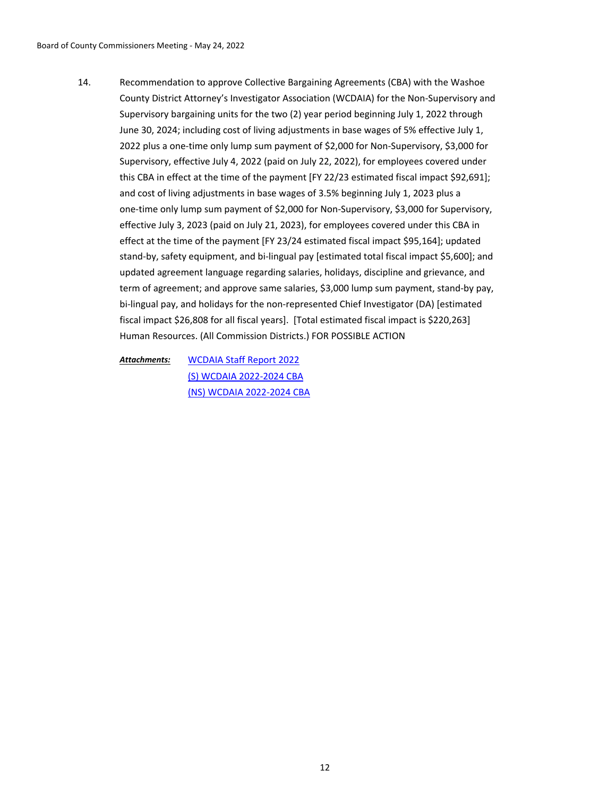Recommendation to approve Collective Bargaining Agreements (CBA) with the Washoe County District Attorney's Investigator Association (WCDAIA) for the Non-Supervisory and Supervisory bargaining units for the two (2) year period beginning July 1, 2022 through June 30, 2024; including cost of living adjustments in base wages of 5% effective July 1, 2022 plus a one-time only lump sum payment of \$2,000 for Non-Supervisory, \$3,000 for Supervisory, effective July 4, 2022 (paid on July 22, 2022), for employees covered under this CBA in effect at the time of the payment [FY 22/23 estimated fiscal impact \$92,691]; and cost of living adjustments in base wages of 3.5% beginning July 1, 2023 plus a one-time only lump sum payment of \$2,000 for Non-Supervisory, \$3,000 for Supervisory, effective July 3, 2023 (paid on July 21, 2023), for employees covered under this CBA in effect at the time of the payment [FY 23/24 estimated fiscal impact \$95,164]; updated stand-by, safety equipment, and bi-lingual pay [estimated total fiscal impact \$5,600]; and updated agreement language regarding salaries, holidays, discipline and grievance, and term of agreement; and approve same salaries, \$3,000 lump sum payment, stand-by pay, bi-lingual pay, and holidays for the non-represented Chief Investigator (DA) [estimated fiscal impact \$26,808 for all fiscal years]. [Total estimated fiscal impact is \$220,263] Human Resources. (All Commission Districts.) FOR POSSIBLE ACTION 14.

[WCDAIA Staff Report 2022](http://washoe-nv.legistar.com/gateway.aspx?M=F&ID=9aba1ba5-8ba4-4a11-863b-7aeaca899f39.doc) [\(S\) WCDAIA 2022-2024 CBA](http://washoe-nv.legistar.com/gateway.aspx?M=F&ID=a3b4bea4-bdb6-45e9-8dad-41aca3ecafbe.pdf) [\(NS\) WCDAIA 2022-2024 CBA](http://washoe-nv.legistar.com/gateway.aspx?M=F&ID=d78d7c7a-9e31-4147-be45-e4365599b72c.pdf) *Attachments:*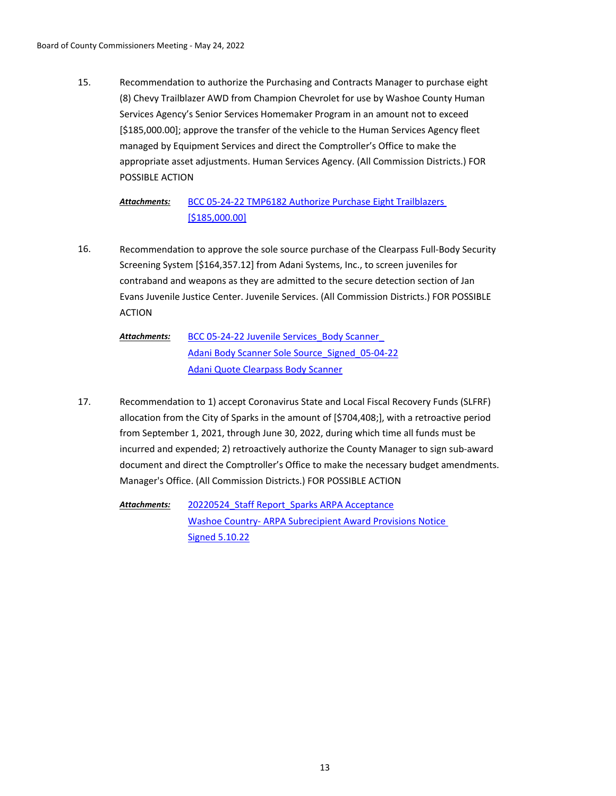Recommendation to authorize the Purchasing and Contracts Manager to purchase eight (8) Chevy Trailblazer AWD from Champion Chevrolet for use by Washoe County Human Services Agency's Senior Services Homemaker Program in an amount not to exceed [\$185,000.00]; approve the transfer of the vehicle to the Human Services Agency fleet managed by Equipment Services and direct the Comptroller's Office to make the appropriate asset adjustments. Human Services Agency. (All Commission Districts.) FOR POSSIBLE ACTION 15.

#### [BCC 05-24-22 TMP6182 Authorize Purchase Eight Trailblazers](http://washoe-nv.legistar.com/gateway.aspx?M=F&ID=c0881b46-639a-4332-8888-3ecb6da836c7.doc)  [\$185,000.00] *Attachments:*

- Recommendation to approve the sole source purchase of the Clearpass Full-Body Security Screening System [\$164,357.12] from Adani Systems, Inc., to screen juveniles for contraband and weapons as they are admitted to the secure detection section of Jan Evans Juvenile Justice Center. Juvenile Services. (All Commission Districts.) FOR POSSIBLE ACTION 16.
	- BCC 05-24-22 Juvenile Services Body Scanner [Adani Body Scanner Sole Source\\_Signed\\_05-04-22](http://washoe-nv.legistar.com/gateway.aspx?M=F&ID=8da9f07d-13ee-45dc-8428-811efffbcac4.pdf) [Adani Quote Clearpass Body Scanner](http://washoe-nv.legistar.com/gateway.aspx?M=F&ID=0163095f-b248-44d2-b47a-8206744ec222.pdf) *Attachments:*
- Recommendation to 1) accept Coronavirus State and Local Fiscal Recovery Funds (SLFRF) allocation from the City of Sparks in the amount of [\$704,408;], with a retroactive period from September 1, 2021, through June 30, 2022, during which time all funds must be incurred and expended; 2) retroactively authorize the County Manager to sign sub-award document and direct the Comptroller's Office to make the necessary budget amendments. Manager's Office. (All Commission Districts.) FOR POSSIBLE ACTION 17.

20220524 Staff Report Sparks ARPA Acceptance [Washoe Country- ARPA Subrecipient Award Provisions Notice](http://washoe-nv.legistar.com/gateway.aspx?M=F&ID=54e94873-dd21-443c-8385-1719cafb6dbb.pdf)  Signed 5.10.22 *Attachments:*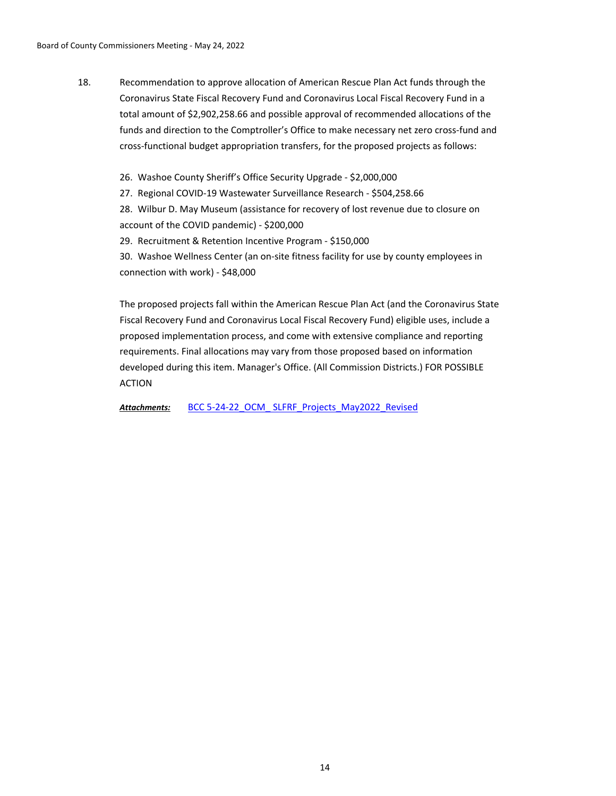- Recommendation to approve allocation of American Rescue Plan Act funds through the Coronavirus State Fiscal Recovery Fund and Coronavirus Local Fiscal Recovery Fund in a total amount of \$2,902,258.66 and possible approval of recommended allocations of the funds and direction to the Comptroller's Office to make necessary net zero cross-fund and cross-functional budget appropriation transfers, for the proposed projects as follows: 18.
	- 26. Washoe County Sheriff's Office Security Upgrade \$2,000,000

27. Regional COVID-19 Wastewater Surveillance Research - \$504,258.66

28. Wilbur D. May Museum (assistance for recovery of lost revenue due to closure on account of the COVID pandemic) - \$200,000

29. Recruitment & Retention Incentive Program - \$150,000

30. Washoe Wellness Center (an on-site fitness facility for use by county employees in connection with work) - \$48,000

The proposed projects fall within the American Rescue Plan Act (and the Coronavirus State Fiscal Recovery Fund and Coronavirus Local Fiscal Recovery Fund) eligible uses, include a proposed implementation process, and come with extensive compliance and reporting requirements. Final allocations may vary from those proposed based on information developed during this item. Manager's Office. (All Commission Districts.) FOR POSSIBLE ACTION

Attachments: BCC 5-24-22\_OCM\_SLFRF\_Projects\_May2022\_Revised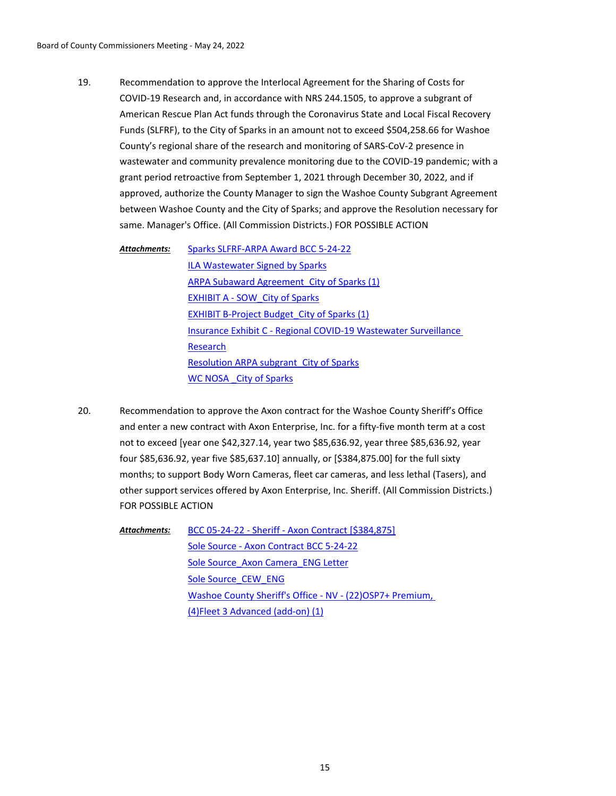Recommendation to approve the Interlocal Agreement for the Sharing of Costs for COVID-19 Research and, in accordance with NRS 244.1505, to approve a subgrant of American Rescue Plan Act funds through the Coronavirus State and Local Fiscal Recovery Funds (SLFRF), to the City of Sparks in an amount not to exceed \$504,258.66 for Washoe County's regional share of the research and monitoring of SARS-CoV-2 presence in wastewater and community prevalence monitoring due to the COVID-19 pandemic; with a grant period retroactive from September 1, 2021 through December 30, 2022, and if approved, authorize the County Manager to sign the Washoe County Subgrant Agreement between Washoe County and the City of Sparks; and approve the Resolution necessary for same. Manager's Office. (All Commission Districts.) FOR POSSIBLE ACTION 19.

[Sparks SLFRF-ARPA Award BCC 5-24-22](http://washoe-nv.legistar.com/gateway.aspx?M=F&ID=4773ca36-0f74-4972-84d1-d0f6b640f979.doc) [ILA Wastewater Signed by Sparks](http://washoe-nv.legistar.com/gateway.aspx?M=F&ID=beaaa88c-03d5-4053-9fb0-db2822bd0716.pdf) ARPA Subaward Agreement City of Sparks (1) [EXHIBIT A - SOW\\_City of Sparks](http://washoe-nv.legistar.com/gateway.aspx?M=F&ID=176c964e-58ed-4465-8b11-a85a2ecf5a64.docx) EXHIBIT B-Project Budget City of Sparks (1) [Insurance Exhibit C - Regional COVID-19 Wastewater Surveillance](http://washoe-nv.legistar.com/gateway.aspx?M=F&ID=d8408ea2-4047-4f48-88fc-217acc82e433.docx)  Research Resolution ARPA subgrant City of Sparks WC NOSA City of Sparks *Attachments:*

Recommendation to approve the Axon contract for the Washoe County Sheriff's Office and enter a new contract with Axon Enterprise, Inc. for a fifty-five month term at a cost not to exceed [year one \$42,327.14, year two \$85,636.92, year three \$85,636.92, year four \$85,636.92, year five \$85,637.10] annually, or [\$384,875.00] for the full sixty months; to support Body Worn Cameras, fleet car cameras, and less lethal (Tasers), and other support services offered by Axon Enterprise, Inc. Sheriff. (All Commission Districts.) FOR POSSIBLE ACTION 20.

> [BCC 05-24-22 - Sheriff - Axon Contract \[\\$384,875\]](http://washoe-nv.legistar.com/gateway.aspx?M=F&ID=18e922e8-4c51-4c72-9b19-05f38e1a07d4.doc) [Sole Source - Axon Contract BCC 5-24-22](http://washoe-nv.legistar.com/gateway.aspx?M=F&ID=26f9a092-f556-4c7f-9d18-e56a4045d1e8.pdf) Sole Source Axon Camera ENG Letter [Sole Source\\_CEW\\_ENG](http://washoe-nv.legistar.com/gateway.aspx?M=F&ID=1f28da30-7d99-4d1f-8409-fc9eb5815dad.DOCX) [Washoe County Sheriff's Office - NV - \(22\)OSP7+ Premium,](http://washoe-nv.legistar.com/gateway.aspx?M=F&ID=bb1db767-bca5-462e-9150-e9293f49aaf8.pdf)  (4)Fleet 3 Advanced (add-on) (1) *Attachments:*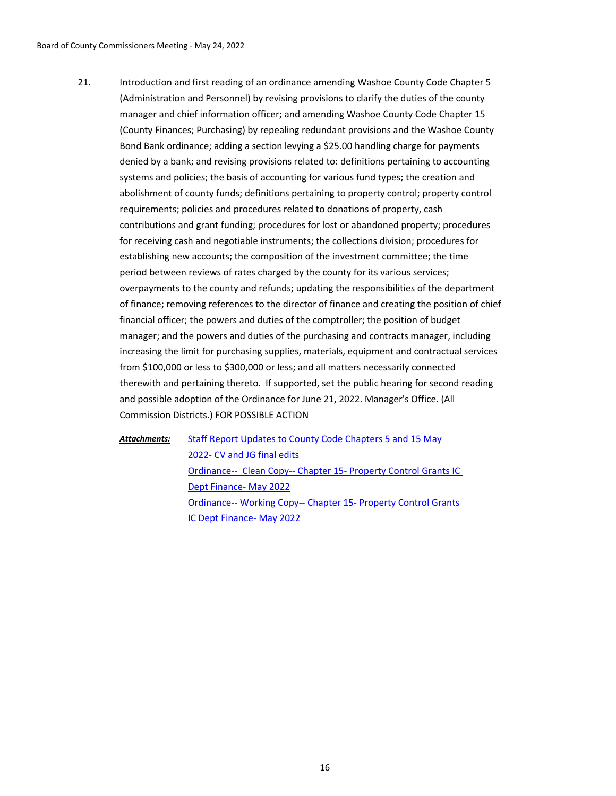Introduction and first reading of an ordinance amending Washoe County Code Chapter 5 (Administration and Personnel) by revising provisions to clarify the duties of the county manager and chief information officer; and amending Washoe County Code Chapter 15 (County Finances; Purchasing) by repealing redundant provisions and the Washoe County Bond Bank ordinance; adding a section levying a \$25.00 handling charge for payments denied by a bank; and revising provisions related to: definitions pertaining to accounting systems and policies; the basis of accounting for various fund types; the creation and abolishment of county funds; definitions pertaining to property control; property control requirements; policies and procedures related to donations of property, cash contributions and grant funding; procedures for lost or abandoned property; procedures for receiving cash and negotiable instruments; the collections division; procedures for establishing new accounts; the composition of the investment committee; the time period between reviews of rates charged by the county for its various services; overpayments to the county and refunds; updating the responsibilities of the department of finance; removing references to the director of finance and creating the position of chief financial officer; the powers and duties of the comptroller; the position of budget manager; and the powers and duties of the purchasing and contracts manager, including increasing the limit for purchasing supplies, materials, equipment and contractual services from \$100,000 or less to \$300,000 or less; and all matters necessarily connected therewith and pertaining thereto. If supported, set the public hearing for second reading and possible adoption of the Ordinance for June 21, 2022. Manager's Office. (All Commission Districts.) FOR POSSIBLE ACTION 21.

*Attachments:*

[Staff Report Updates to County Code Chapters 5 and 15 May](http://washoe-nv.legistar.com/gateway.aspx?M=F&ID=510167ec-b6bb-4013-9e9d-945d1390702d.doc)  2022- CV and JG final edits [Ordinance-- Clean Copy-- Chapter 15- Property Control Grants IC](http://washoe-nv.legistar.com/gateway.aspx?M=F&ID=3008285e-4b6c-4be5-953d-14b37cf6937d.docx)  Dept Finance- May 2022 [Ordinance-- Working Copy-- Chapter 15- Property Control Grants](http://washoe-nv.legistar.com/gateway.aspx?M=F&ID=96fea23a-f7c1-429f-a2ff-8bf177f78f1c.docx)  IC Dept Finance- May 2022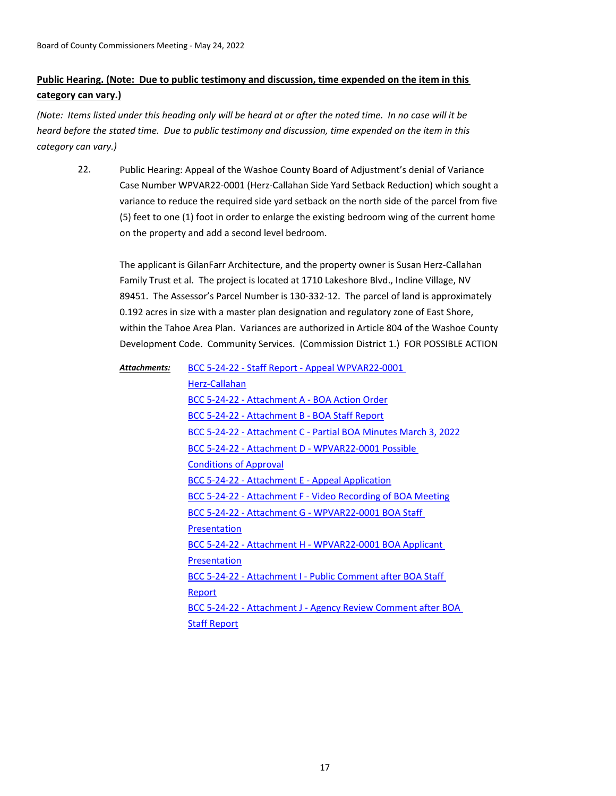# **Public Hearing. (Note: Due to public testimony and discussion, time expended on the item in this category can vary.)**

*(Note: Items listed under this heading only will be heard at or after the noted time. In no case will it be heard before the stated time. Due to public testimony and discussion, time expended on the item in this category can vary.)*

Public Hearing: Appeal of the Washoe County Board of Adjustment's denial of Variance Case Number WPVAR22-0001 (Herz-Callahan Side Yard Setback Reduction) which sought a variance to reduce the required side yard setback on the north side of the parcel from five (5) feet to one (1) foot in order to enlarge the existing bedroom wing of the current home on the property and add a second level bedroom. 22.

The applicant is GilanFarr Architecture, and the property owner is Susan Herz-Callahan Family Trust et al. The project is located at 1710 Lakeshore Blvd., Incline Village, NV 89451. The Assessor's Parcel Number is 130-332-12. The parcel of land is approximately 0.192 acres in size with a master plan designation and regulatory zone of East Shore, within the Tahoe Area Plan. Variances are authorized in Article 804 of the Washoe County Development Code. Community Services. (Commission District 1.) FOR POSSIBLE ACTION

[BCC 5-24-22 - Staff Report - Appeal WPVAR22-0001](http://washoe-nv.legistar.com/gateway.aspx?M=F&ID=5bd362df-53e4-4255-b64a-1b0683d6729d.doc)  Herz-Callahan [BCC 5-24-22 - Attachment A - BOA Action Order](http://washoe-nv.legistar.com/gateway.aspx?M=F&ID=b1293448-5298-4bcb-879a-82922828da69.pdf) [BCC 5-24-22 - Attachment B - BOA Staff Report](http://washoe-nv.legistar.com/gateway.aspx?M=F&ID=cdd6e7f1-84db-4b26-949e-96d369aebd38.pdf) [BCC 5-24-22 - Attachment C - Partial BOA Minutes March 3, 2022](http://washoe-nv.legistar.com/gateway.aspx?M=F&ID=7dfb2e2e-cbb8-41e2-805f-d800aa06f0bb.pdf) [BCC 5-24-22 - Attachment D - WPVAR22-0001 Possible](http://washoe-nv.legistar.com/gateway.aspx?M=F&ID=05bf8f87-1ad3-45bb-9ded-2e5410123f50.pdf)  Conditions of Approval [BCC 5-24-22 - Attachment E - Appeal Application](http://washoe-nv.legistar.com/gateway.aspx?M=F&ID=f44e78d6-04ec-4d40-9613-4a3154b38a25.pdf) [BCC 5-24-22 - Attachment F - Video Recording of BOA Meeting](http://washoe-nv.legistar.com/gateway.aspx?M=F&ID=152e34ad-116e-467f-b090-e67e5074ae4e.pdf) [BCC 5-24-22 - Attachment G - WPVAR22-0001 BOA Staff](http://washoe-nv.legistar.com/gateway.aspx?M=F&ID=1d3f28ce-8034-455c-b49e-aa717443dd9d.pdf)  Presentation [BCC 5-24-22 - Attachment H - WPVAR22-0001 BOA Applicant](http://washoe-nv.legistar.com/gateway.aspx?M=F&ID=7a2e95be-a86b-4526-b2a7-590658cb4e3d.pdf)  **Presentation** [BCC 5-24-22 - Attachment I - Public Comment after BOA Staff](http://washoe-nv.legistar.com/gateway.aspx?M=F&ID=297b69cd-5eea-4d34-91e6-237a6da2aa71.pdf)  Report [BCC 5-24-22 - Attachment J - Agency Review Comment after BOA](http://washoe-nv.legistar.com/gateway.aspx?M=F&ID=5428bdd7-ffa2-4b87-b37c-22aa5ae5da54.pdf)  Staff Report *Attachments:*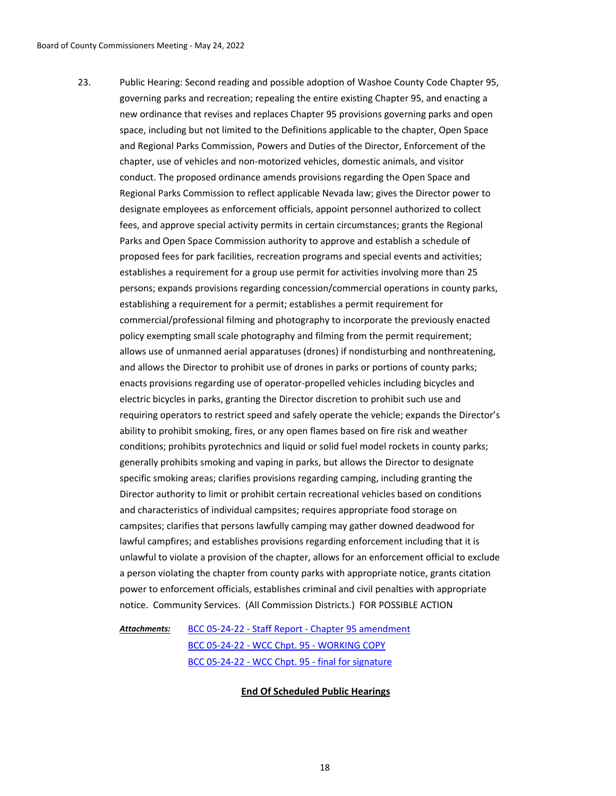Public Hearing: Second reading and possible adoption of Washoe County Code Chapter 95, governing parks and recreation; repealing the entire existing Chapter 95, and enacting a new ordinance that revises and replaces Chapter 95 provisions governing parks and open space, including but not limited to the Definitions applicable to the chapter, Open Space and Regional Parks Commission, Powers and Duties of the Director, Enforcement of the chapter, use of vehicles and non-motorized vehicles, domestic animals, and visitor conduct. The proposed ordinance amends provisions regarding the Open Space and Regional Parks Commission to reflect applicable Nevada law; gives the Director power to designate employees as enforcement officials, appoint personnel authorized to collect fees, and approve special activity permits in certain circumstances; grants the Regional Parks and Open Space Commission authority to approve and establish a schedule of proposed fees for park facilities, recreation programs and special events and activities; establishes a requirement for a group use permit for activities involving more than 25 persons; expands provisions regarding concession/commercial operations in county parks, establishing a requirement for a permit; establishes a permit requirement for commercial/professional filming and photography to incorporate the previously enacted policy exempting small scale photography and filming from the permit requirement; allows use of unmanned aerial apparatuses (drones) if nondisturbing and nonthreatening, and allows the Director to prohibit use of drones in parks or portions of county parks; enacts provisions regarding use of operator-propelled vehicles including bicycles and electric bicycles in parks, granting the Director discretion to prohibit such use and requiring operators to restrict speed and safely operate the vehicle; expands the Director's ability to prohibit smoking, fires, or any open flames based on fire risk and weather conditions; prohibits pyrotechnics and liquid or solid fuel model rockets in county parks; generally prohibits smoking and vaping in parks, but allows the Director to designate specific smoking areas; clarifies provisions regarding camping, including granting the Director authority to limit or prohibit certain recreational vehicles based on conditions and characteristics of individual campsites; requires appropriate food storage on campsites; clarifies that persons lawfully camping may gather downed deadwood for lawful campfires; and establishes provisions regarding enforcement including that it is unlawful to violate a provision of the chapter, allows for an enforcement official to exclude a person violating the chapter from county parks with appropriate notice, grants citation power to enforcement officials, establishes criminal and civil penalties with appropriate notice. Community Services. (All Commission Districts.) FOR POSSIBLE ACTION 23.

### [BCC 05-24-22 - Staff Report - Chapter 95 amendment](http://washoe-nv.legistar.com/gateway.aspx?M=F&ID=dd40846f-cc89-4b91-8457-f1a902c214b9.doc) [BCC 05-24-22 - WCC Chpt. 95 - WORKING COPY](http://washoe-nv.legistar.com/gateway.aspx?M=F&ID=d27a06ed-35c8-47ca-8983-de0e4c8fb1f8.docx) [BCC 05-24-22 - WCC Chpt. 95 - final for signature](http://washoe-nv.legistar.com/gateway.aspx?M=F&ID=8514f5ca-2798-4146-b336-be6ff43379e7.docx) *Attachments:*

#### **End Of Scheduled Public Hearings**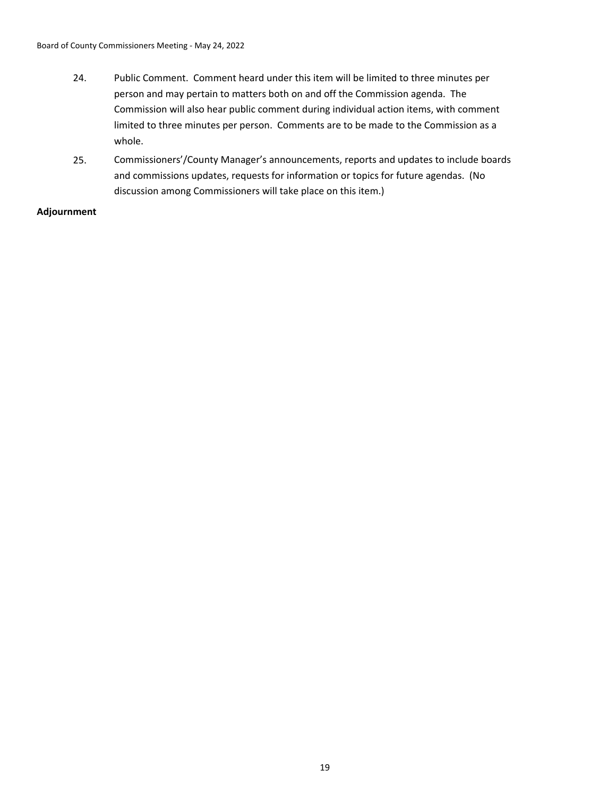- 24. Public Comment. Comment heard under this item will be limited to three minutes per person and may pertain to matters both on and off the Commission agenda. The Commission will also hear public comment during individual action items, with comment limited to three minutes per person. Comments are to be made to the Commission as a whole.
- 25. Commissioners'/County Manager's announcements, reports and updates to include boards and commissions updates, requests for information or topics for future agendas. (No discussion among Commissioners will take place on this item.)

# **Adjournment**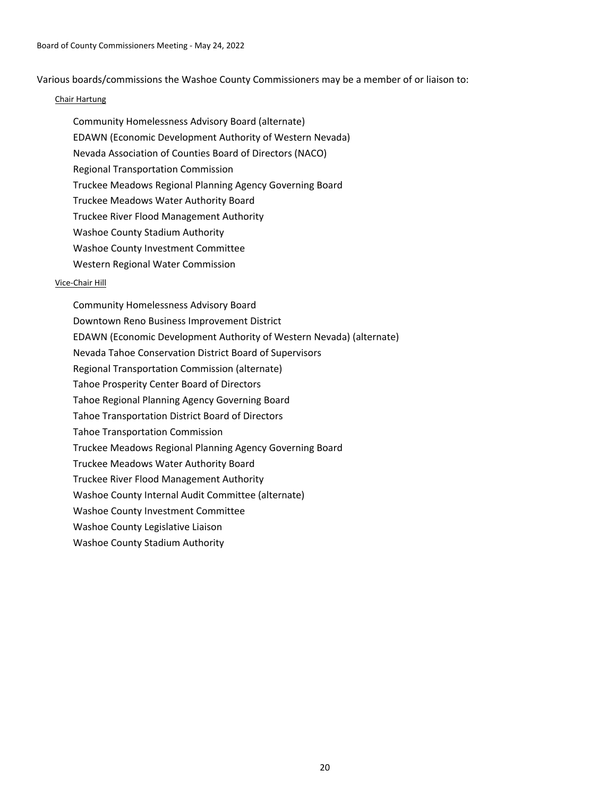Various boards/commissions the Washoe County Commissioners may be a member of or liaison to:

### Chair Hartung

- Community Homelessness Advisory Board (alternate)
- EDAWN (Economic Development Authority of Western Nevada)
- Nevada Association of Counties Board of Directors (NACO)
- Regional Transportation Commission
- Truckee Meadows Regional Planning Agency Governing Board
- Truckee Meadows Water Authority Board
- Truckee River Flood Management Authority
- Washoe County Stadium Authority
- Washoe County Investment Committee
- Western Regional Water Commission

## Vice-Chair Hill

Community Homelessness Advisory Board Downtown Reno Business Improvement District EDAWN (Economic Development Authority of Western Nevada) (alternate) Nevada Tahoe Conservation District Board of Supervisors Regional Transportation Commission (alternate) Tahoe Prosperity Center Board of Directors Tahoe Regional Planning Agency Governing Board Tahoe Transportation District Board of Directors Tahoe Transportation Commission Truckee Meadows Regional Planning Agency Governing Board Truckee Meadows Water Authority Board Truckee River Flood Management Authority Washoe County Internal Audit Committee (alternate) Washoe County Investment Committee Washoe County Legislative Liaison Washoe County Stadium Authority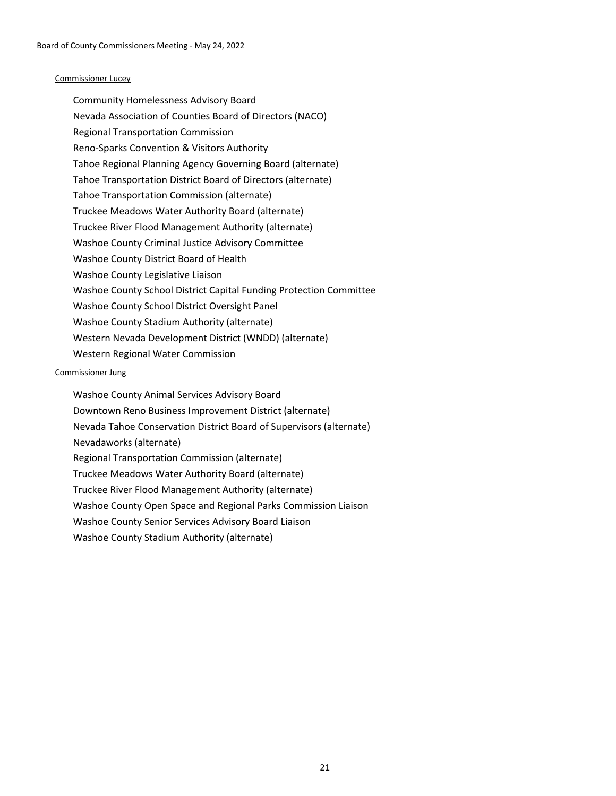#### Commissioner Lucey

Community Homelessness Advisory Board Nevada Association of Counties Board of Directors (NACO) Regional Transportation Commission Reno-Sparks Convention & Visitors Authority Tahoe Regional Planning Agency Governing Board (alternate) Tahoe Transportation District Board of Directors (alternate) Tahoe Transportation Commission (alternate) Truckee Meadows Water Authority Board (alternate) Truckee River Flood Management Authority (alternate) Washoe County Criminal Justice Advisory Committee Washoe County District Board of Health Washoe County Legislative Liaison Washoe County School District Capital Funding Protection Committee Washoe County School District Oversight Panel Washoe County Stadium Authority (alternate) Western Nevada Development District (WNDD) (alternate) Western Regional Water Commission

### Commissioner Jung

Washoe County Animal Services Advisory Board Downtown Reno Business Improvement District (alternate) Nevada Tahoe Conservation District Board of Supervisors (alternate) Nevadaworks (alternate) Regional Transportation Commission (alternate) Truckee Meadows Water Authority Board (alternate) Truckee River Flood Management Authority (alternate) Washoe County Open Space and Regional Parks Commission Liaison Washoe County Senior Services Advisory Board Liaison Washoe County Stadium Authority (alternate)